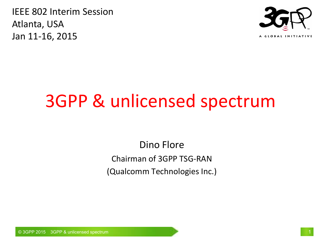IEEE 802 Interim Session Atlanta, USA Jan 11-16, 2015



# 3GPP & unlicensed spectrum

Dino Flore Chairman of 3GPP TSG-RAN (Qualcomm Technologies Inc.)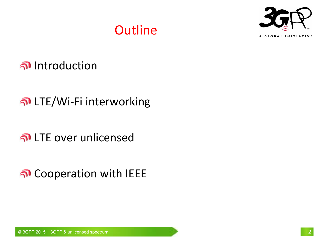

#### **Outline**

Introduction

#### LTE/Wi-Fi interworking

LTE over unlicensed

Cooperation with IEEE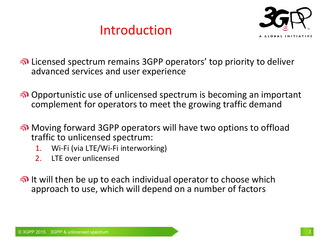#### Introduction



Licensed spectrum remains 3GPP operators' top priority to deliver advanced services and user experience

- Opportunistic use of unlicensed spectrum is becoming an important complement for operators to meet the growing traffic demand
- Moving forward 3GPP operators will have two options to offload traffic to unlicensed spectrum:
	- 1. Wi-Fi (via LTE/Wi-Fi interworking)
	- 2. LTE over unlicensed
- n It will then be up to each individual operator to choose which approach to use, which will depend on a number of factors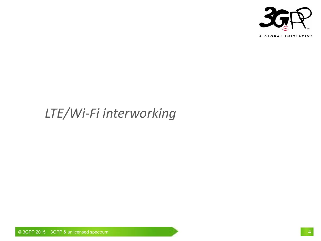

#### *LTE/Wi-Fi interworking*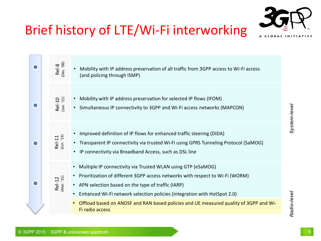

# Brief history of LTE/Wi-Fi interworking

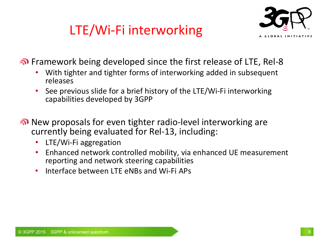# LTE/Wi-Fi interworking



**n** Framework being developed since the first release of LTE, Rel-8

- With tighter and tighter forms of interworking added in subsequent releases
- See previous slide for a brief history of the LTE/Wi-Fi interworking capabilities developed by 3GPP
- New proposals for even tighter radio-level interworking are currently being evaluated for Rel-13, including:
	- LTE/Wi-Fi aggregation
	- Enhanced network controlled mobility, via enhanced UE measurement reporting and network steering capabilities
	- Interface between LTF eNBs and Wi-Fi APs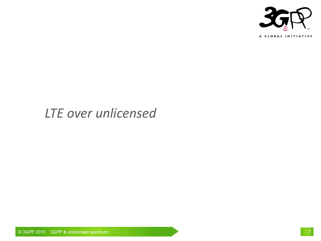

#### *LTE over unlicensed*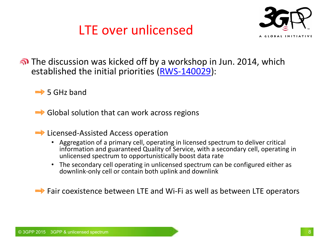



The discussion was kicked off by a workshop in Jun. 2014, which established the initial priorities [\(RWS-140029](http://www.3gpp.org/ftp/workshop/2014-06-13_LTE-U/Docs/RWS-140029.zip)):

 $\Rightarrow$  5 GHz band

 $\Rightarrow$  Global solution that can work across regions

**■ Licensed-Assisted Access operation** 

- Aggregation of a primary cell, operating in licensed spectrum to deliver critical information and guaranteed Quality of Service, with a secondary cell, operating in unlicensed spectrum to opportunistically boost data rate
- The secondary cell operating in unlicensed spectrum can be configured either as downlink-only cell or contain both uplink and downlink

**■ Fair coexistence between LTE and Wi-Fi as well as between LTE operators**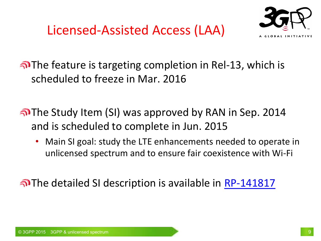Licensed-Assisted Access (LAA)



The feature is targeting completion in Rel-13, which is scheduled to freeze in Mar. 2016

The Study Item (SI) was approved by RAN in Sep. 2014 and is scheduled to complete in Jun. 2015

• Main SI goal: study the LTE enhancements needed to operate in unlicensed spectrum and to ensure fair coexistence with Wi-Fi

The detailed SI description is available in [RP-141817](ftp://ftp.3gpp.org/tsg_ran/TSG_RAN/TSGR_66/Docs/RP-141817.zip)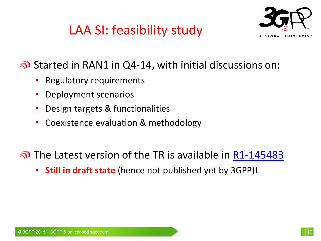# LAA SI: feasibility study



#### Started in RAN1 in Q4-14, with initial discussions on:

- Regulatory requirements
- Deployment scenarios
- Design targets & functionalities
- Coexistence evaluation & methodology
- The Latest version of the TR is available in [R1-145483](ftp://ftp.3gpp.org/tsg_ran/WG1_RL1/TSGR1_79/Docs/R1-145483.zip)
	- **Still in draft state** (hence not published yet by 3GPP)!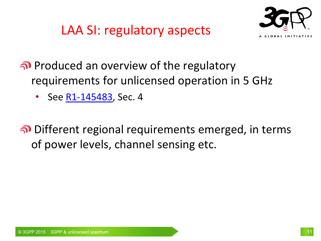LAA SI: regulatory aspects



Produced an overview of the regulatory requirements for unlicensed operation in 5 GHz

• See [R1-145483,](ftp://ftp.3gpp.org/tsg_ran/WG1_RL1/TSGR1_79/Docs/R1-145483.zip) Sec. 4

Different regional requirements emerged, in terms of power levels, channel sensing etc.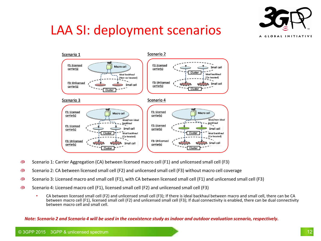

# LAA SI: deployment scenarios



- Scenario 1: Carrier Aggregation (CA) between licensed macro cell (F1) and unlicensed small cell (F3) ລົ
- Scenario 2: CA between licensed small cell (F2) and unlicensed small cell (F3) without macro cell coverage ุกิ
- Scenario 3: Licensed macro and small cell (F1), with CA between licensed small cell (F1) and unlicensed small cell (F3) ຈົນ
- Scenario 4: Licensed macro cell (F1), licensed small cell (F2) and unlicensed small cell (F3) ລົງ
	- CA between licensed small cell (F2) and unlicensed small cell (F3); If there is ideal backhaul between macro and small cell, there can be CA between macro cell (F1), licensed small cell (F2) and unlicensed small cell (F3); If dual connectivity is enabled, there can be dual connectivity between macro cell and small cell.

*Note: Scenario 2 and Scenario 4 will be used in the coexistence study as indoor and outdoor evaluation scenario, respectively.*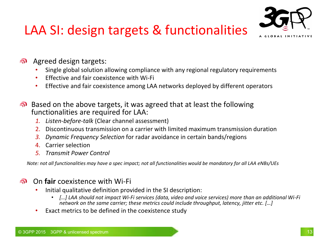# LAA SI: design targets & functionalities



- Agreed design targets:
	- Single global solution allowing compliance with any regional regulatory requirements
	- Effective and fair coexistence with Wi-Fi
	- Effective and fair coexistence among LAA networks deployed by different operators
- **Based on the above targets, it was agreed that at least the following** functionalities are required for LAA:
	- *1. Listen-before-talk* (Clear channel assessment)
	- 2. Discontinuous transmission on a carrier with limited maximum transmission duration
	- *3. Dynamic Frequency Selection* for radar avoidance in certain bands/regions
	- 4. Carrier selection
	- *5. Transmit Power Control*

*Note: not all functionalities may have a spec impact; not all functionalities would be mandatory for all LAA eNBs/UEs*

#### On **fair** coexistence with Wi-Fi ച

- Initial qualitative definition provided in the SI description:
	- *[…] LAA should not impact Wi-Fi services (data, video and voice services) more than an additional Wi-Fi network on the same carrier; these metrics could include throughput, latency, jitter etc. […]*
- Exact metrics to be defined in the coexistence study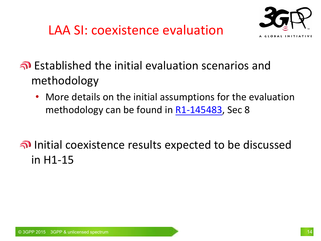



Established the initial evaluation scenarios and methodology

• More details on the initial assumptions for the evaluation methodology can be found in [R1-145483,](ftp://ftp.3gpp.org/tsg_ran/WG1_RL1/TSGR1_79/Docs/R1-145483.zip) Sec 8

#### Initial coexistence results expected to be discussed in H1-15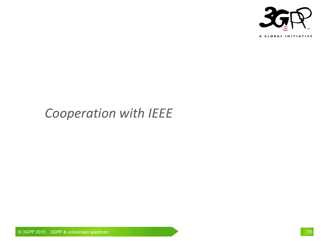

#### *Cooperation with IEEE*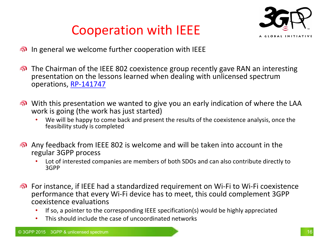



- **o** In general we welcome further cooperation with IEEE
- The Chairman of the IEEE 802 coexistence group recently gave RAN an interesting presentation on the lessons learned when dealing with unlicensed spectrum operations, [RP-141747](ftp://ftp.3gpp.org/tsg_ran/TSG_RAN/TSGR_66/Docs/RP-141747.zip)
- with this presentation we wanted to give you an early indication of where the LAA work is going (the work has just started)
	- We will be happy to come back and present the results of the coexistence analysis, once the feasibility study is completed
- Any feedback from IEEE 802 is welcome and will be taken into account in the regular 3GPP process
	- Lot of interested companies are members of both SDOs and can also contribute directly to 3GPP
- For instance, if IEEE had a standardized requirement on Wi-Fi to Wi-Fi coexistence performance that every Wi-Fi device has to meet, this could complement 3GPP coexistence evaluations
	- If so, a pointer to the corresponding IEEE specification(s) would be highly appreciated
	- This should include the case of uncoordinated networks